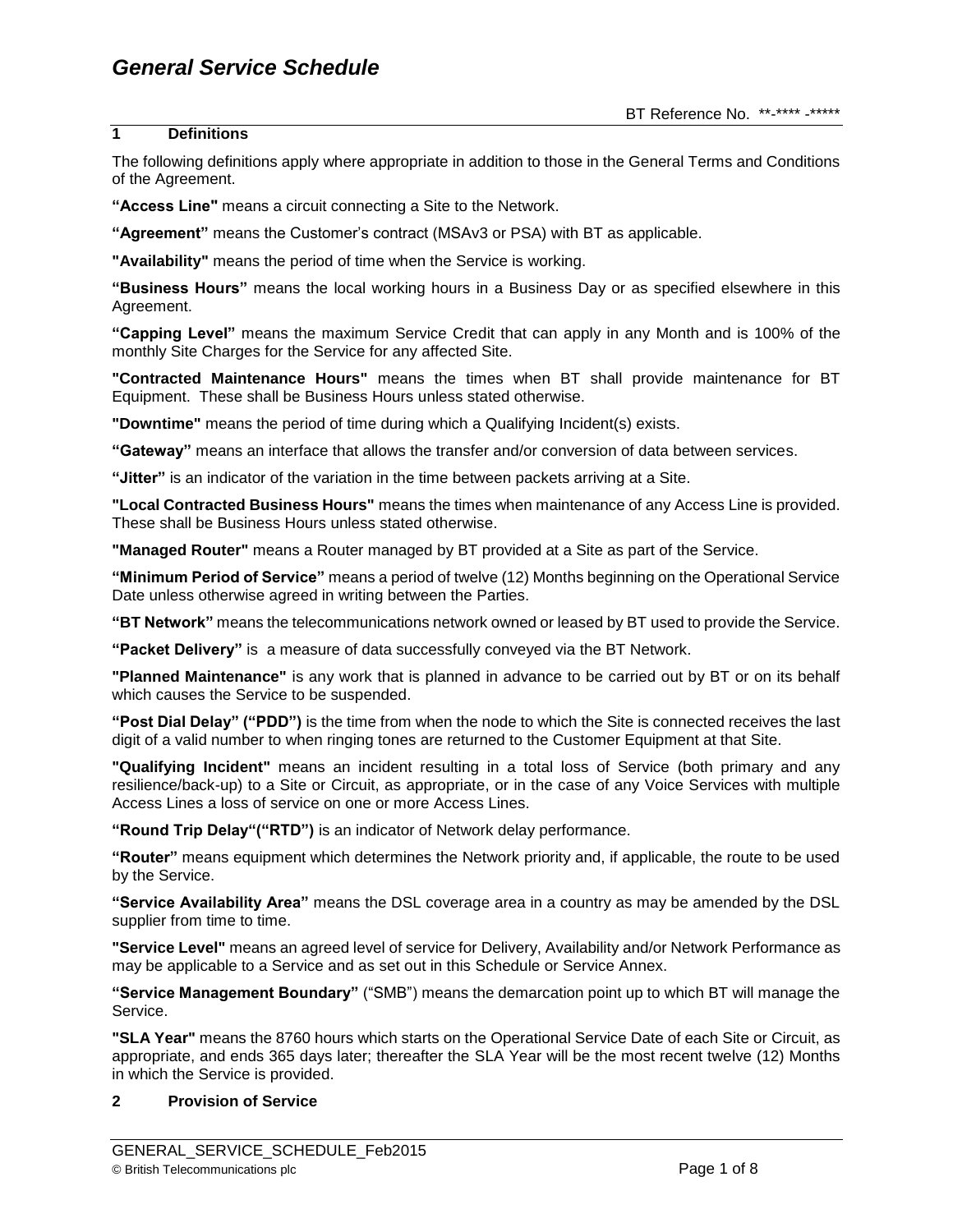# **1 Definitions**

The following definitions apply where appropriate in addition to those in the General Terms and Conditions of the Agreement.

**"Access Line"** means a circuit connecting a Site to the Network.

**"Agreement"** means the Customer's contract (MSAv3 or PSA) with BT as applicable.

**"Availability"** means the period of time when the Service is working.

**"Business Hours"** means the local working hours in a Business Day or as specified elsewhere in this Agreement.

**"Capping Level"** means the maximum Service Credit that can apply in any Month and is 100% of the monthly Site Charges for the Service for any affected Site.

**"Contracted Maintenance Hours"** means the times when BT shall provide maintenance for BT Equipment. These shall be Business Hours unless stated otherwise.

**"Downtime"** means the period of time during which a Qualifying Incident(s) exists.

**"Gateway"** means an interface that allows the transfer and/or conversion of data between services.

**"Jitter"** is an indicator of the variation in the time between packets arriving at a Site.

**"Local Contracted Business Hours"** means the times when maintenance of any Access Line is provided. These shall be Business Hours unless stated otherwise.

**"Managed Router"** means a Router managed by BT provided at a Site as part of the Service.

**"Minimum Period of Service"** means a period of twelve (12) Months beginning on the Operational Service Date unless otherwise agreed in writing between the Parties.

**"BT Network"** means the telecommunications network owned or leased by BT used to provide the Service.

**"Packet Delivery"** is a measure of data successfully conveyed via the BT Network.

**"Planned Maintenance"** is any work that is planned in advance to be carried out by BT or on its behalf which causes the Service to be suspended.

**"Post Dial Delay" ("PDD")** is the time from when the node to which the Site is connected receives the last digit of a valid number to when ringing tones are returned to the Customer Equipment at that Site.

**"Qualifying Incident"** means an incident resulting in a total loss of Service (both primary and any resilience/back-up) to a Site or Circuit, as appropriate, or in the case of any Voice Services with multiple Access Lines a loss of service on one or more Access Lines.

**"Round Trip Delay"("RTD")** is an indicator of Network delay performance.

**"Router"** means equipment which determines the Network priority and, if applicable, the route to be used by the Service.

**"Service Availability Area"** means the DSL coverage area in a country as may be amended by the DSL supplier from time to time.

**"Service Level"** means an agreed level of service for Delivery, Availability and/or Network Performance as may be applicable to a Service and as set out in this Schedule or Service Annex.

**"Service Management Boundary"** ("SMB") means the demarcation point up to which BT will manage the Service.

**"SLA Year"** means the 8760 hours which starts on the Operational Service Date of each Site or Circuit, as appropriate, and ends 365 days later; thereafter the SLA Year will be the most recent twelve (12) Months in which the Service is provided.

# **2 Provision of Service**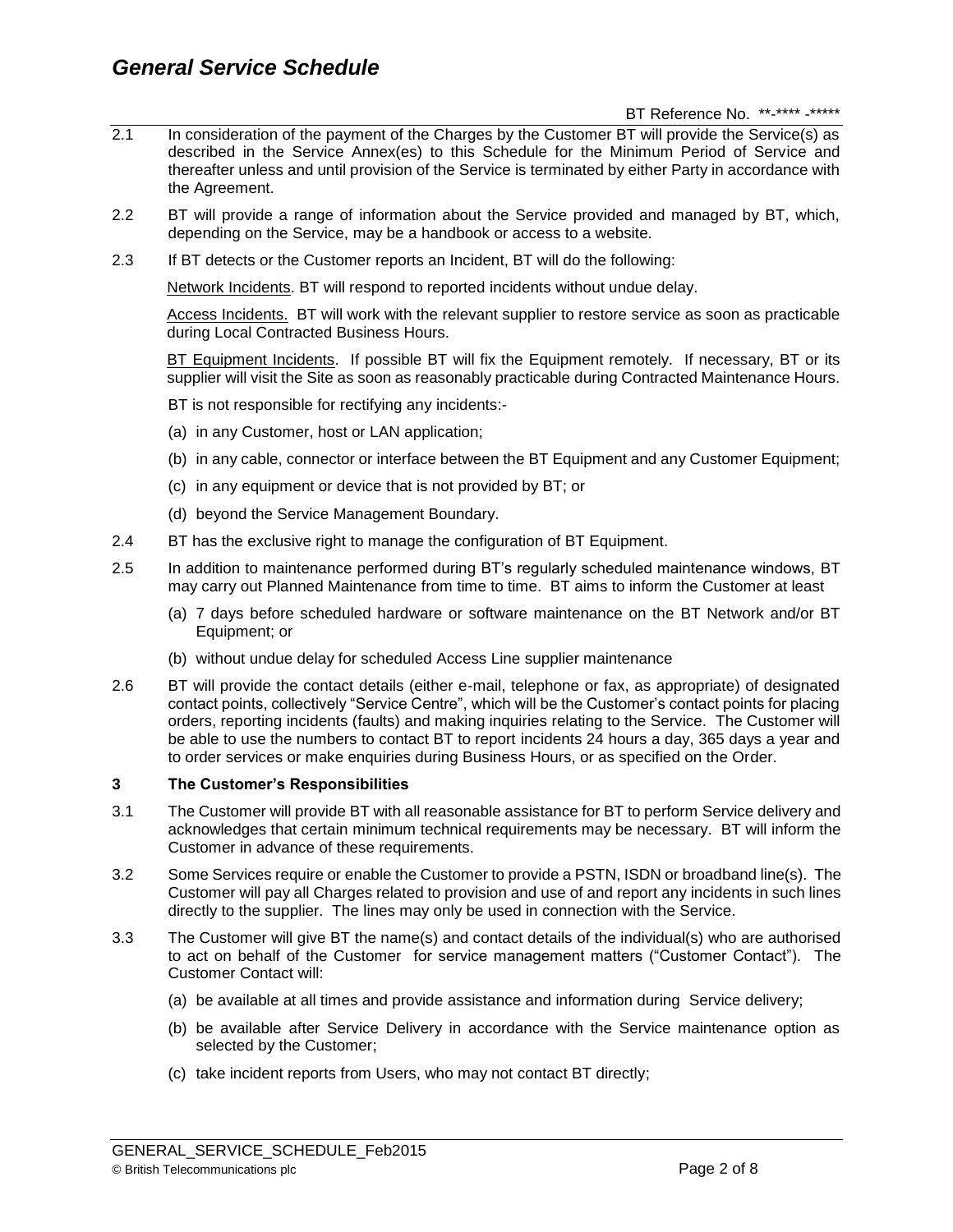- 2.1 In consideration of the payment of the Charges by the Customer BT will provide the Service(s) as described in the Service Annex(es) to this Schedule for the Minimum Period of Service and thereafter unless and until provision of the Service is terminated by either Party in accordance with the Agreement.
- 2.2 BT will provide a range of information about the Service provided and managed by BT, which, depending on the Service, may be a handbook or access to a website.
- 2.3 If BT detects or the Customer reports an Incident, BT will do the following:

Network Incidents. BT will respond to reported incidents without undue delay.

Access Incidents. BT will work with the relevant supplier to restore service as soon as practicable during Local Contracted Business Hours.

BT Equipment Incidents. If possible BT will fix the Equipment remotely. If necessary, BT or its supplier will visit the Site as soon as reasonably practicable during Contracted Maintenance Hours.

BT is not responsible for rectifying any incidents:-

- (a) in any Customer, host or LAN application;
- (b) in any cable, connector or interface between the BT Equipment and any Customer Equipment;
- (c) in any equipment or device that is not provided by BT; or
- (d) beyond the Service Management Boundary.
- 2.4 BT has the exclusive right to manage the configuration of BT Equipment.
- 2.5 In addition to maintenance performed during BT's regularly scheduled maintenance windows, BT may carry out Planned Maintenance from time to time. BT aims to inform the Customer at least
	- (a) 7 days before scheduled hardware or software maintenance on the BT Network and/or BT Equipment; or
	- (b) without undue delay for scheduled Access Line supplier maintenance
- 2.6 BT will provide the contact details (either e-mail, telephone or fax, as appropriate) of designated contact points, collectively "Service Centre", which will be the Customer's contact points for placing orders, reporting incidents (faults) and making inquiries relating to the Service. The Customer will be able to use the numbers to contact BT to report incidents 24 hours a day, 365 days a year and to order services or make enquiries during Business Hours, or as specified on the Order.

# **3 The Customer's Responsibilities**

- 3.1 The Customer will provide BT with all reasonable assistance for BT to perform Service delivery and acknowledges that certain minimum technical requirements may be necessary. BT will inform the Customer in advance of these requirements.
- 3.2 Some Services require or enable the Customer to provide a PSTN, ISDN or broadband line(s). The Customer will pay all Charges related to provision and use of and report any incidents in such lines directly to the supplier. The lines may only be used in connection with the Service.
- 3.3 The Customer will give BT the name(s) and contact details of the individual(s) who are authorised to act on behalf of the Customer for service management matters ("Customer Contact"). The Customer Contact will:
	- (a) be available at all times and provide assistance and information during Service delivery;
	- (b) be available after Service Delivery in accordance with the Service maintenance option as selected by the Customer;
	- (c) take incident reports from Users, who may not contact BT directly;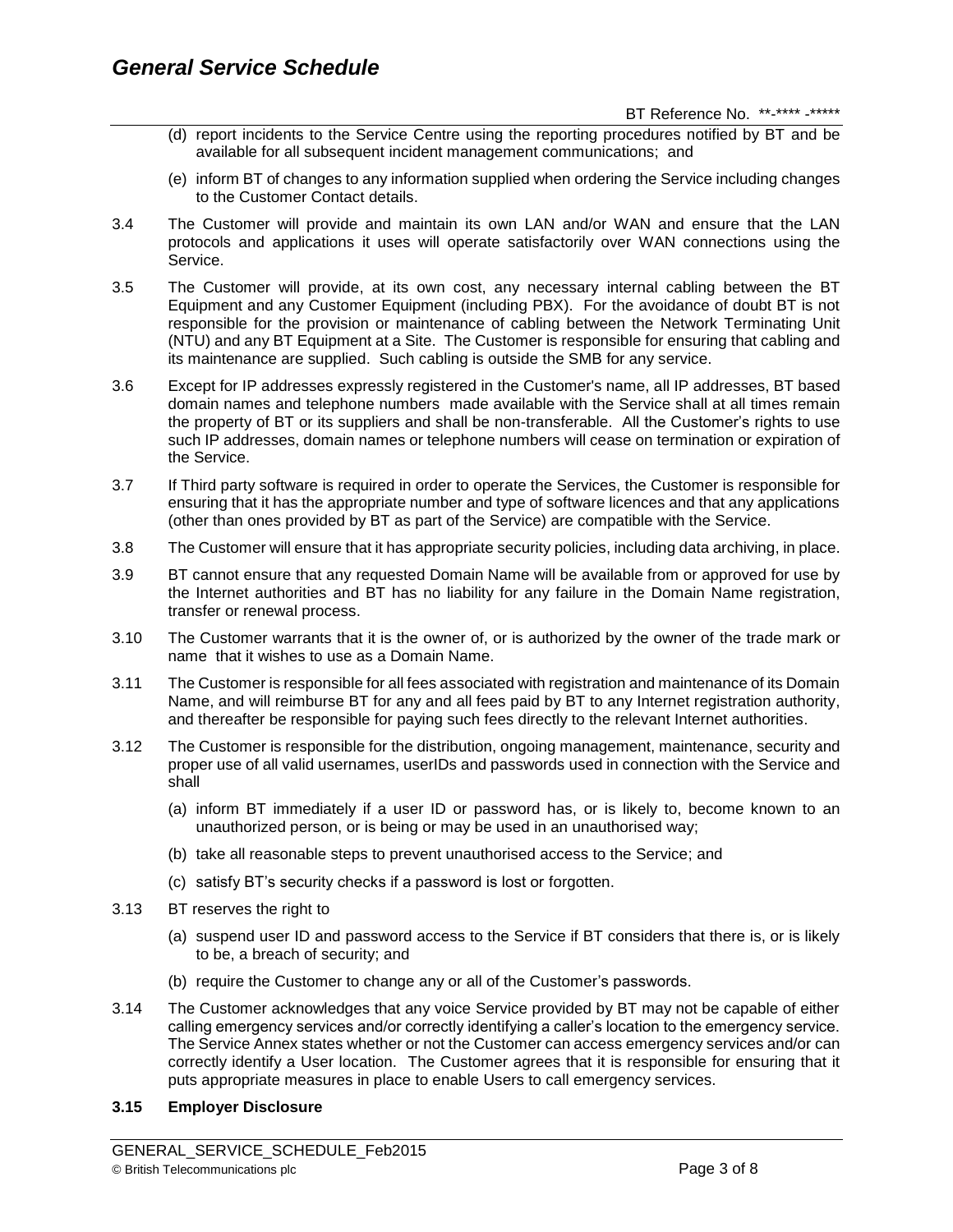BT Reference No. \*\*-\*\*\*\* -\*\*\*\*\*

- (d) report incidents to the Service Centre using the reporting procedures notified by BT and be available for all subsequent incident management communications; and
- (e) inform BT of changes to any information supplied when ordering the Service including changes to the Customer Contact details.
- 3.4 The Customer will provide and maintain its own LAN and/or WAN and ensure that the LAN protocols and applications it uses will operate satisfactorily over WAN connections using the Service.
- 3.5 The Customer will provide, at its own cost, any necessary internal cabling between the BT Equipment and any Customer Equipment (including PBX). For the avoidance of doubt BT is not responsible for the provision or maintenance of cabling between the Network Terminating Unit (NTU) and any BT Equipment at a Site. The Customer is responsible for ensuring that cabling and its maintenance are supplied. Such cabling is outside the SMB for any service.
- 3.6 Except for IP addresses expressly registered in the Customer's name, all IP addresses, BT based domain names and telephone numbers made available with the Service shall at all times remain the property of BT or its suppliers and shall be non-transferable. All the Customer's rights to use such IP addresses, domain names or telephone numbers will cease on termination or expiration of the Service.
- 3.7 If Third party software is required in order to operate the Services, the Customer is responsible for ensuring that it has the appropriate number and type of software licences and that any applications (other than ones provided by BT as part of the Service) are compatible with the Service.
- 3.8 The Customer will ensure that it has appropriate security policies, including data archiving, in place.
- 3.9 BT cannot ensure that any requested Domain Name will be available from or approved for use by the Internet authorities and BT has no liability for any failure in the Domain Name registration, transfer or renewal process.
- 3.10 The Customer warrants that it is the owner of, or is authorized by the owner of the trade mark or name that it wishes to use as a Domain Name.
- 3.11 The Customer is responsible for all fees associated with registration and maintenance of its Domain Name, and will reimburse BT for any and all fees paid by BT to any Internet registration authority, and thereafter be responsible for paying such fees directly to the relevant Internet authorities.
- 3.12 The Customer is responsible for the distribution, ongoing management, maintenance, security and proper use of all valid usernames, userIDs and passwords used in connection with the Service and shall
	- (a) inform BT immediately if a user ID or password has, or is likely to, become known to an unauthorized person, or is being or may be used in an unauthorised way;
	- (b) take all reasonable steps to prevent unauthorised access to the Service; and
	- (c) satisfy BT's security checks if a password is lost or forgotten.
- 3.13 BT reserves the right to
	- (a) suspend user ID and password access to the Service if BT considers that there is, or is likely to be, a breach of security; and
	- (b) require the Customer to change any or all of the Customer's passwords.
- 3.14 The Customer acknowledges that any voice Service provided by BT may not be capable of either calling emergency services and/or correctly identifying a caller's location to the emergency service. The Service Annex states whether or not the Customer can access emergency services and/or can correctly identify a User location. The Customer agrees that it is responsible for ensuring that it puts appropriate measures in place to enable Users to call emergency services.

# **3.15 Employer Disclosure**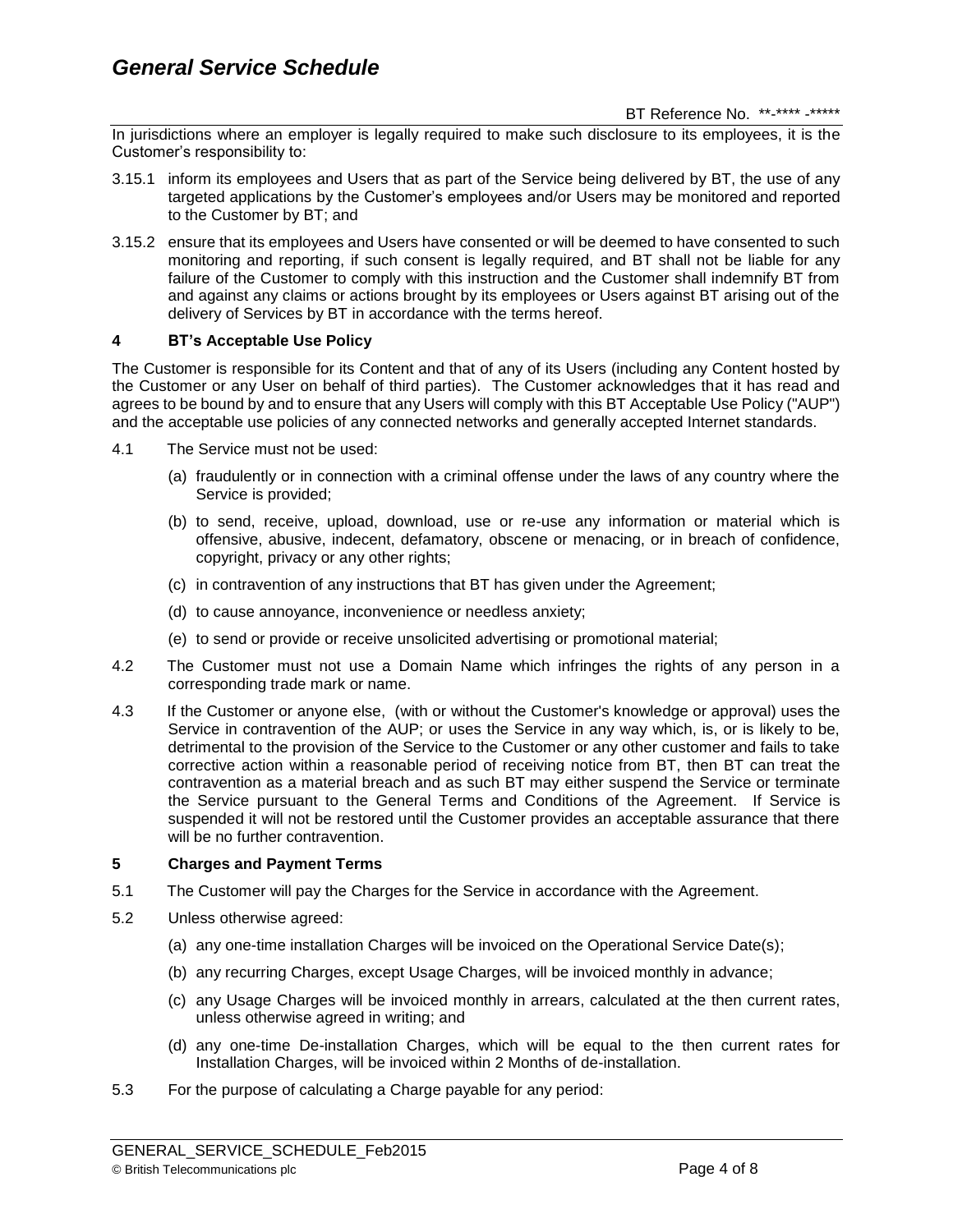In jurisdictions where an employer is legally required to make such disclosure to its employees, it is the Customer's responsibility to:

- 3.15.1 inform its employees and Users that as part of the Service being delivered by BT, the use of any targeted applications by the Customer's employees and/or Users may be monitored and reported to the Customer by BT; and
- 3.15.2 ensure that its employees and Users have consented or will be deemed to have consented to such monitoring and reporting, if such consent is legally required, and BT shall not be liable for any failure of the Customer to comply with this instruction and the Customer shall indemnify BT from and against any claims or actions brought by its employees or Users against BT arising out of the delivery of Services by BT in accordance with the terms hereof.

# **4 BT's Acceptable Use Policy**

The Customer is responsible for its Content and that of any of its Users (including any Content hosted by the Customer or any User on behalf of third parties). The Customer acknowledges that it has read and agrees to be bound by and to ensure that any Users will comply with this BT Acceptable Use Policy ("AUP") and the acceptable use policies of any connected networks and generally accepted Internet standards.

- 4.1 The Service must not be used:
	- (a) fraudulently or in connection with a criminal offense under the laws of any country where the Service is provided;
	- (b) to send, receive, upload, download, use or re-use any information or material which is offensive, abusive, indecent, defamatory, obscene or menacing, or in breach of confidence, copyright, privacy or any other rights;
	- (c) in contravention of any instructions that BT has given under the Agreement;
	- (d) to cause annoyance, inconvenience or needless anxiety;
	- (e) to send or provide or receive unsolicited advertising or promotional material;
- 4.2 The Customer must not use a Domain Name which infringes the rights of any person in a corresponding trade mark or name.
- 4.3 If the Customer or anyone else, (with or without the Customer's knowledge or approval) uses the Service in contravention of the AUP; or uses the Service in any way which, is, or is likely to be, detrimental to the provision of the Service to the Customer or any other customer and fails to take corrective action within a reasonable period of receiving notice from BT, then BT can treat the contravention as a material breach and as such BT may either suspend the Service or terminate the Service pursuant to the General Terms and Conditions of the Agreement. If Service is suspended it will not be restored until the Customer provides an acceptable assurance that there will be no further contravention.

# **5 Charges and Payment Terms**

- 5.1 The Customer will pay the Charges for the Service in accordance with the Agreement.
- 5.2 Unless otherwise agreed:
	- (a) any one-time installation Charges will be invoiced on the Operational Service Date(s);
	- (b) any recurring Charges, except Usage Charges, will be invoiced monthly in advance;
	- (c) any Usage Charges will be invoiced monthly in arrears, calculated at the then current rates, unless otherwise agreed in writing; and
	- (d) any one-time De-installation Charges, which will be equal to the then current rates for Installation Charges, will be invoiced within 2 Months of de-installation.
- 5.3 For the purpose of calculating a Charge payable for any period: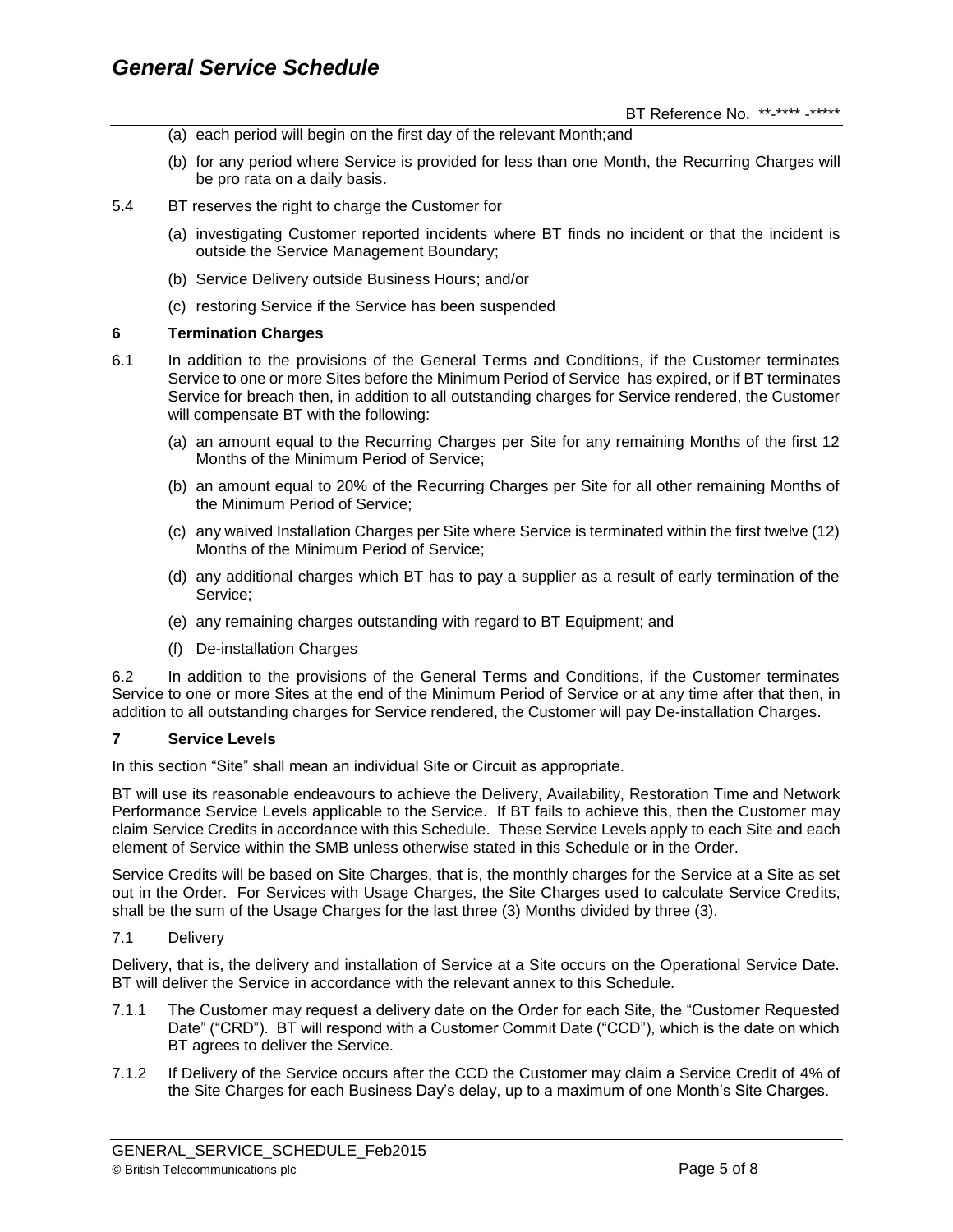- (a) each period will begin on the first day of the relevant Month;and
- (b) for any period where Service is provided for less than one Month, the Recurring Charges will be pro rata on a daily basis.

#### 5.4 BT reserves the right to charge the Customer for

- (a) investigating Customer reported incidents where BT finds no incident or that the incident is outside the Service Management Boundary;
- (b) Service Delivery outside Business Hours; and/or
- (c) restoring Service if the Service has been suspended

#### **6 Termination Charges**

- 6.1 In addition to the provisions of the General Terms and Conditions, if the Customer terminates Service to one or more Sites before the Minimum Period of Service has expired, or if BT terminates Service for breach then, in addition to all outstanding charges for Service rendered, the Customer will compensate BT with the following:
	- (a) an amount equal to the Recurring Charges per Site for any remaining Months of the first 12 Months of the Minimum Period of Service;
	- (b) an amount equal to 20% of the Recurring Charges per Site for all other remaining Months of the Minimum Period of Service;
	- (c) any waived Installation Charges per Site where Service is terminated within the first twelve (12) Months of the Minimum Period of Service;
	- (d) any additional charges which BT has to pay a supplier as a result of early termination of the Service;
	- (e) any remaining charges outstanding with regard to BT Equipment; and
	- (f) De-installation Charges

6.2 In addition to the provisions of the General Terms and Conditions, if the Customer terminates Service to one or more Sites at the end of the Minimum Period of Service or at any time after that then, in addition to all outstanding charges for Service rendered, the Customer will pay De-installation Charges.

# **7 Service Levels**

In this section "Site" shall mean an individual Site or Circuit as appropriate.

BT will use its reasonable endeavours to achieve the Delivery, Availability, Restoration Time and Network Performance Service Levels applicable to the Service. If BT fails to achieve this, then the Customer may claim Service Credits in accordance with this Schedule. These Service Levels apply to each Site and each element of Service within the SMB unless otherwise stated in this Schedule or in the Order.

Service Credits will be based on Site Charges, that is, the monthly charges for the Service at a Site as set out in the Order. For Services with Usage Charges, the Site Charges used to calculate Service Credits, shall be the sum of the Usage Charges for the last three (3) Months divided by three (3).

7.1 Delivery

Delivery, that is, the delivery and installation of Service at a Site occurs on the Operational Service Date. BT will deliver the Service in accordance with the relevant annex to this Schedule.

- 7.1.1 The Customer may request a delivery date on the Order for each Site, the "Customer Requested Date" ("CRD"). BT will respond with a Customer Commit Date ("CCD"), which is the date on which BT agrees to deliver the Service.
- 7.1.2 If Delivery of the Service occurs after the CCD the Customer may claim a Service Credit of 4% of the Site Charges for each Business Day's delay, up to a maximum of one Month's Site Charges.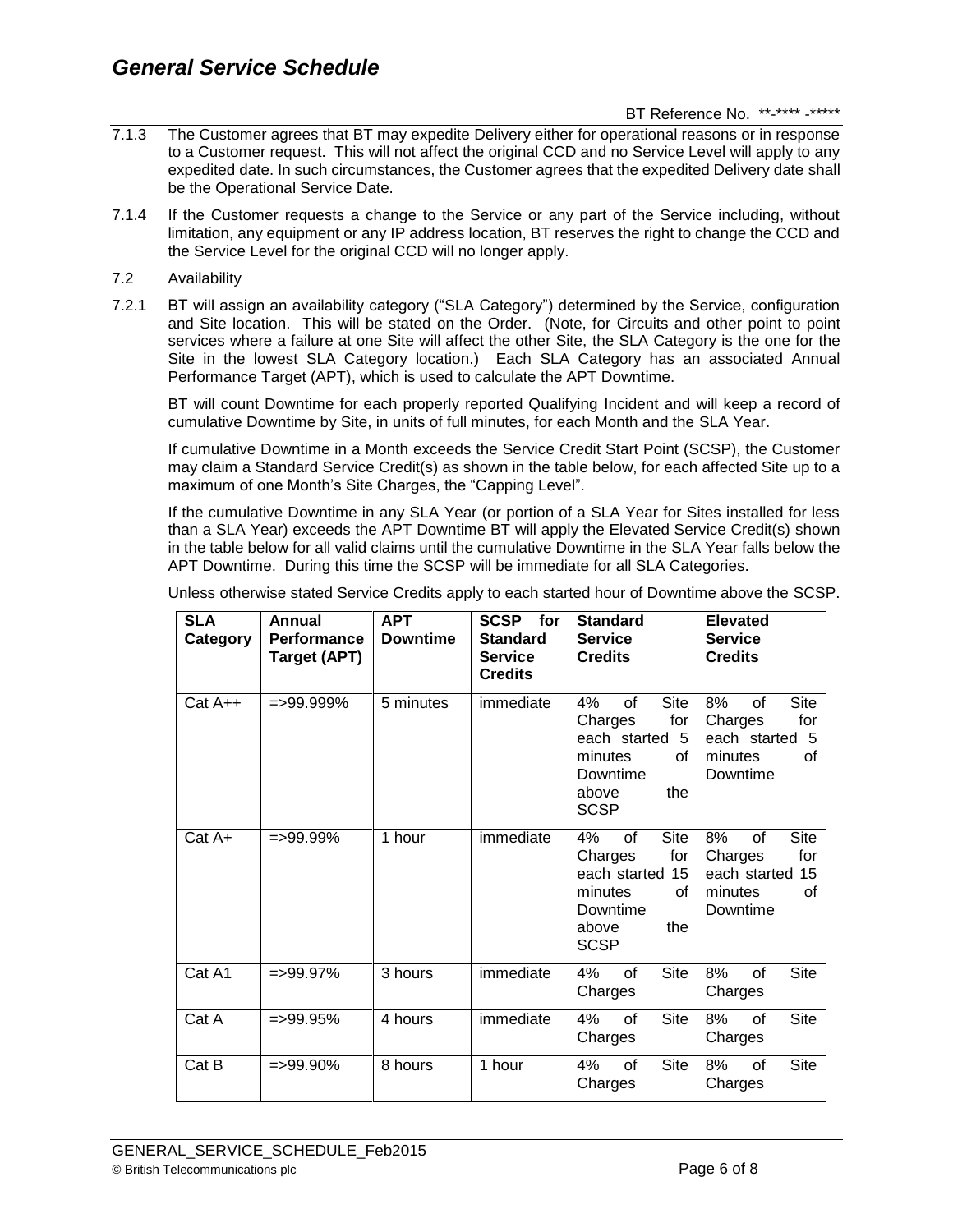- 7.1.3 The Customer agrees that BT may expedite Delivery either for operational reasons or in response to a Customer request. This will not affect the original CCD and no Service Level will apply to any expedited date. In such circumstances, the Customer agrees that the expedited Delivery date shall be the Operational Service Date.
- 7.1.4 If the Customer requests a change to the Service or any part of the Service including, without limitation, any equipment or any IP address location, BT reserves the right to change the CCD and the Service Level for the original CCD will no longer apply.
- 7.2 Availability
- 7.2.1 BT will assign an availability category ("SLA Category") determined by the Service, configuration and Site location. This will be stated on the Order. (Note, for Circuits and other point to point services where a failure at one Site will affect the other Site, the SLA Category is the one for the Site in the lowest SLA Category location.) Each SLA Category has an associated Annual Performance Target (APT), which is used to calculate the APT Downtime.

BT will count Downtime for each properly reported Qualifying Incident and will keep a record of cumulative Downtime by Site, in units of full minutes, for each Month and the SLA Year.

If cumulative Downtime in a Month exceeds the Service Credit Start Point (SCSP), the Customer may claim a Standard Service Credit(s) as shown in the table below, for each affected Site up to a maximum of one Month's Site Charges, the "Capping Level".

If the cumulative Downtime in any SLA Year (or portion of a SLA Year for Sites installed for less than a SLA Year) exceeds the APT Downtime BT will apply the Elevated Service Credit(s) shown in the table below for all valid claims until the cumulative Downtime in the SLA Year falls below the APT Downtime. During this time the SCSP will be immediate for all SLA Categories.

| <b>SLA</b><br>Category | Annual<br>Performance<br><b>Target (APT)</b> | <b>APT</b><br><b>Downtime</b> | SCSP for<br><b>Standard</b><br><b>Service</b><br><b>Credits</b> | <b>Standard</b><br><b>Service</b><br><b>Credits</b>                                                              | <b>Elevated</b><br><b>Service</b><br><b>Credits</b>                                          |
|------------------------|----------------------------------------------|-------------------------------|-----------------------------------------------------------------|------------------------------------------------------------------------------------------------------------------|----------------------------------------------------------------------------------------------|
| Cat A++                | $=$ >99.999%                                 | 5 minutes                     | immediate                                                       | Site<br>4%<br>of<br>Charges<br>for<br>each started 5<br>minutes<br>οf<br>Downtime<br>above<br>the<br><b>SCSP</b> | Site<br>8%<br>0f<br>Charges<br>for<br>each started 5<br>minutes<br>οf<br>Downtime            |
| $Cat A+$               | $=$ >99.99%                                  | 1 hour                        | immediate                                                       | Site<br>4%<br>οf<br>Charges<br>for<br>15<br>each started<br>minutes<br>οf<br>Downtime<br>above<br>the<br>SCSP    | <b>Site</b><br>8%<br>0f<br>for<br>Charges<br>15<br>each started<br>minutes<br>οf<br>Downtime |
| Cat A1                 | $=$ >99.97%                                  | 3 hours                       | immediate                                                       | Site<br>4%<br>of<br>Charges                                                                                      | <b>Site</b><br>8%<br>of<br>Charges                                                           |
| Cat A                  | $=$ >99.95%                                  | 4 hours                       | immediate                                                       | 4%<br>Site<br>of<br>Charges                                                                                      | 8%<br><b>Site</b><br>of<br>Charges                                                           |
| Cat B                  | $=$ >99.90%                                  | 8 hours                       | 1 hour                                                          | 4%<br>Site<br>of<br>Charges                                                                                      | Site<br>8%<br>of<br>Charges                                                                  |

Unless otherwise stated Service Credits apply to each started hour of Downtime above the SCSP.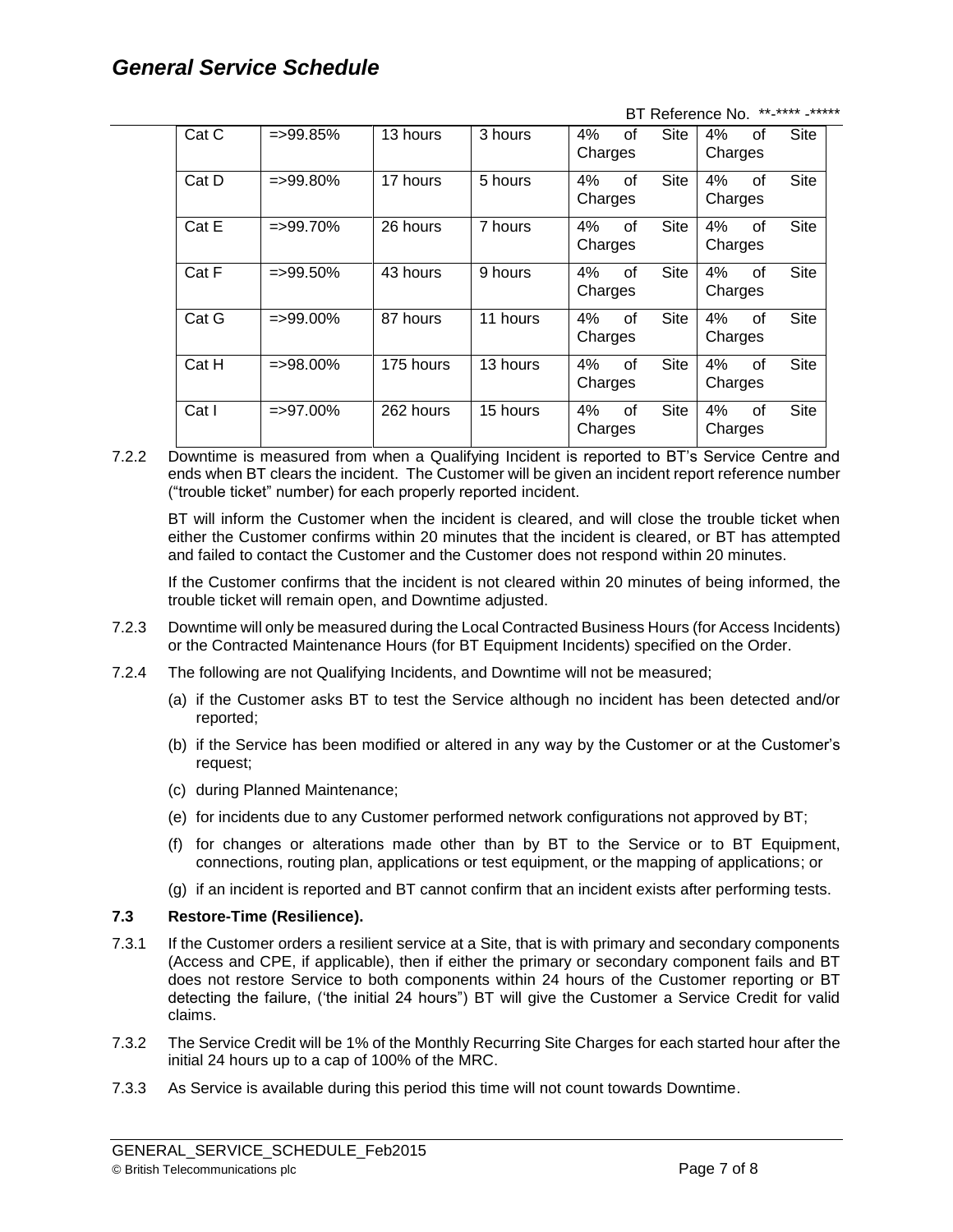# *General Service Schedule*

BT Reference No. \*\*-\*\*\*\* -\*\*\*\*\*

| Cat C | $=$ >99.85% | 13 hours  | 3 hours  | 4%<br>Charges | 0f | <b>Site</b> | 4%<br>Charges | οf | Site        |
|-------|-------------|-----------|----------|---------------|----|-------------|---------------|----|-------------|
|       |             |           |          |               |    |             |               |    |             |
| Cat D | $=$ >99.80% | 17 hours  | 5 hours  | 4%            | 0f | Site        | 4%            | of | Site        |
|       |             |           |          | Charges       |    |             | Charges       |    |             |
| Cat E | $=$ >99.70% | 26 hours  | 7 hours  | 4%            | 0f | Site        | 4%            | of | Site        |
|       |             |           |          | Charges       |    |             | Charges       |    |             |
| Cat F | $=$ >99.50% | 43 hours  | 9 hours  | 4%            | 0f | <b>Site</b> | 4%            | οf | Site        |
|       |             |           |          | Charges       |    |             | Charges       |    |             |
| Cat G | $=$ >99.00% | 87 hours  | 11 hours | 4%            | 0f | <b>Site</b> | 4%            | 0f | <b>Site</b> |
|       |             |           |          | Charges       |    |             | Charges       |    |             |
| Cat H | $=$ >98.00% | 175 hours | 13 hours | 4%            | of | Site        | 4%            | of | <b>Site</b> |
|       |             |           |          | Charges       |    |             | Charges       |    |             |
| Cat I | $=$ >97.00% | 262 hours | 15 hours | 4%            | 0f | <b>Site</b> | 4%            | οf | <b>Site</b> |
|       |             |           |          | Charges       |    |             | Charges       |    |             |

7.2.2 Downtime is measured from when a Qualifying Incident is reported to BT's Service Centre and ends when BT clears the incident. The Customer will be given an incident report reference number ("trouble ticket" number) for each properly reported incident.

BT will inform the Customer when the incident is cleared, and will close the trouble ticket when either the Customer confirms within 20 minutes that the incident is cleared, or BT has attempted and failed to contact the Customer and the Customer does not respond within 20 minutes.

If the Customer confirms that the incident is not cleared within 20 minutes of being informed, the trouble ticket will remain open, and Downtime adjusted.

- 7.2.3 Downtime will only be measured during the Local Contracted Business Hours (for Access Incidents) or the Contracted Maintenance Hours (for BT Equipment Incidents) specified on the Order.
- 7.2.4 The following are not Qualifying Incidents, and Downtime will not be measured;
	- (a) if the Customer asks BT to test the Service although no incident has been detected and/or reported;
	- (b) if the Service has been modified or altered in any way by the Customer or at the Customer's request;
	- (c) during Planned Maintenance;
	- (e) for incidents due to any Customer performed network configurations not approved by BT;
	- (f) for changes or alterations made other than by BT to the Service or to BT Equipment, connections, routing plan, applications or test equipment, or the mapping of applications; or
	- (g) if an incident is reported and BT cannot confirm that an incident exists after performing tests.

# **7.3 Restore-Time (Resilience).**

- 7.3.1 If the Customer orders a resilient service at a Site, that is with primary and secondary components (Access and CPE, if applicable), then if either the primary or secondary component fails and BT does not restore Service to both components within 24 hours of the Customer reporting or BT detecting the failure, ('the initial 24 hours") BT will give the Customer a Service Credit for valid claims.
- 7.3.2 The Service Credit will be 1% of the Monthly Recurring Site Charges for each started hour after the initial 24 hours up to a cap of 100% of the MRC.
- 7.3.3 As Service is available during this period this time will not count towards Downtime.